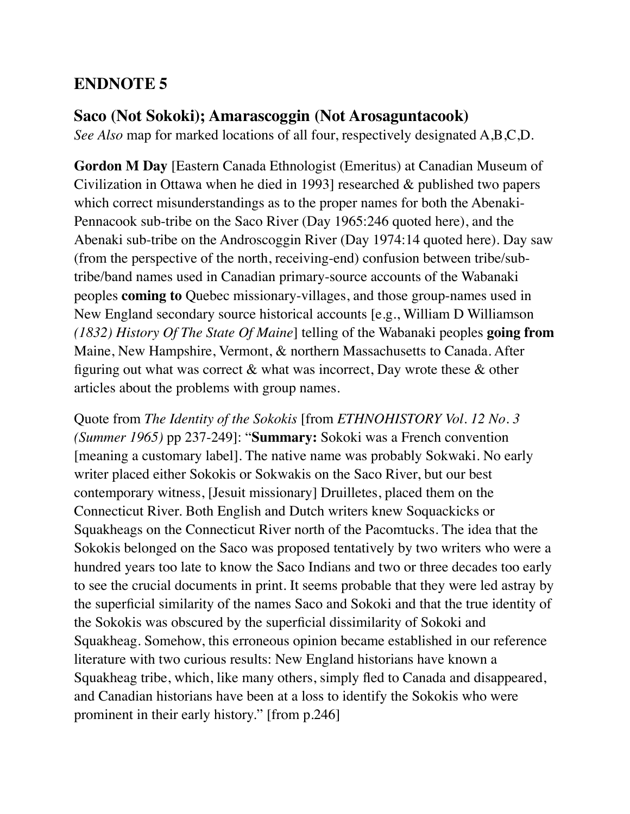## **ENDNOTE 5**

## **Saco (Not Sokoki); Amarascoggin (Not Arosaguntacook)**

*See Also* map for marked locations of all four, respectively designated A,B,C,D.

**Gordon M Day** [Eastern Canada Ethnologist (Emeritus) at Canadian Museum of Civilization in Ottawa when he died in 1993] researched & published two papers which correct misunderstandings as to the proper names for both the Abenaki-Pennacook sub-tribe on the Saco River (Day 1965:246 quoted here), and the Abenaki sub-tribe on the Androscoggin River (Day 1974:14 quoted here). Day saw (from the perspective of the north, receiving-end) confusion between tribe/subtribe/band names used in Canadian primary-source accounts of the Wabanaki peoples **coming to** Quebec missionary-villages, and those group-names used in New England secondary source historical accounts [e.g., William D Williamson *(1832) History Of The State Of Maine*] telling of the Wabanaki peoples **going from**  Maine, New Hampshire, Vermont, & northern Massachusetts to Canada. After figuring out what was correct  $\&$  what was incorrect, Day wrote these  $\&$  other articles about the problems with group names.

Quote from *The Identity of the Sokokis* [from *ETHNOHISTORY Vol. 12 No. 3 (Summer 1965)* pp 237-249]: "**Summary:** Sokoki was a French convention [meaning a customary label]. The native name was probably Sokwaki. No early writer placed either Sokokis or Sokwakis on the Saco River, but our best contemporary witness, [Jesuit missionary] Druilletes, placed them on the Connecticut River. Both English and Dutch writers knew Soquackicks or Squakheags on the Connecticut River north of the Pacomtucks. The idea that the Sokokis belonged on the Saco was proposed tentatively by two writers who were a hundred years too late to know the Saco Indians and two or three decades too early to see the crucial documents in print. It seems probable that they were led astray by the superficial similarity of the names Saco and Sokoki and that the true identity of the Sokokis was obscured by the superficial dissimilarity of Sokoki and Squakheag. Somehow, this erroneous opinion became established in our reference literature with two curious results: New England historians have known a Squakheag tribe, which, like many others, simply fled to Canada and disappeared, and Canadian historians have been at a loss to identify the Sokokis who were prominent in their early history." [from p.246]